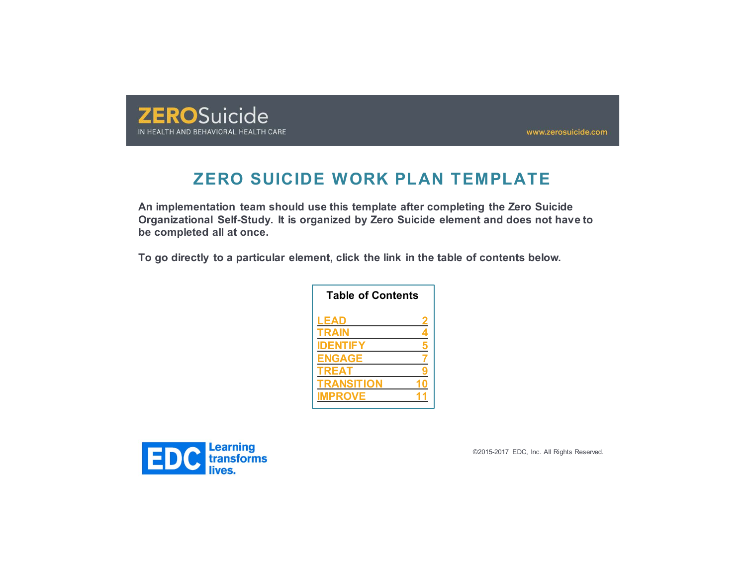

www.zerosuicide.com

# **ZERO SUICIDE WORK PLAN TEMPLATE**

**An implementation team should use this template after completing the Zero Suicide Organizational Self-Study. It is organized by Zero Suicide element and does not have to be completed all at once.** 

**To go directly to a particular element, click the link in the table of contents below.** 

| <b>Table of Contents</b> |   |
|--------------------------|---|
| LEAD                     | 2 |
| <b>TRAIN</b>             | 4 |
| <b>IDENTIFY</b>          | 5 |
| <b>ENGAGE</b>            |   |
| <b>TREAT</b>             |   |
| <b>TRANSITION</b>        |   |
| <b>IMPROVE</b>           |   |
|                          |   |

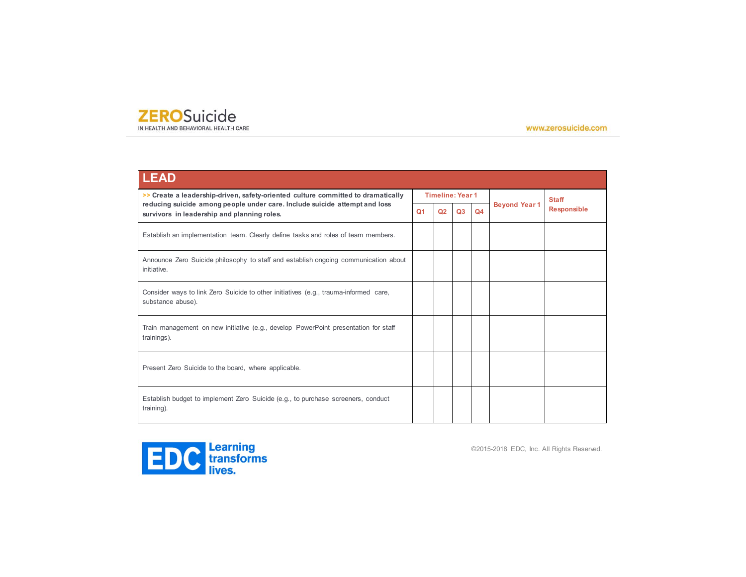IN HEALTH AND BEHAVIORAL HEALTH CARE

www.zerosuicide.com

| <b>LEAD</b>                                                                                                               |                |                |                         |                |                      |                    |
|---------------------------------------------------------------------------------------------------------------------------|----------------|----------------|-------------------------|----------------|----------------------|--------------------|
| >> Create a leadership-driven, safety-oriented culture committed to dramatically                                          |                |                | <b>Timeline: Year 1</b> |                |                      | <b>Staff</b>       |
| reducing suicide among people under care. Include suicide attempt and loss<br>survivors in leadership and planning roles. | Q <sub>1</sub> | Q <sub>2</sub> | O <sub>3</sub>          | Q <sub>4</sub> | <b>Beyond Year 1</b> | <b>Responsible</b> |
| Establish an implementation team. Clearly define tasks and roles of team members.                                         |                |                |                         |                |                      |                    |
| Announce Zero Suicide philosophy to staff and establish ongoing communication about<br>initiative.                        |                |                |                         |                |                      |                    |
| Consider ways to link Zero Suicide to other initiatives (e.g., trauma-informed care,<br>substance abuse).                 |                |                |                         |                |                      |                    |
| Train management on new initiative (e.g., develop PowerPoint presentation for staff<br>trainings).                        |                |                |                         |                |                      |                    |
| Present Zero Suicide to the board, where applicable.                                                                      |                |                |                         |                |                      |                    |
| Establish budget to implement Zero Suicide (e.g., to purchase screeners, conduct<br>training).                            |                |                |                         |                |                      |                    |

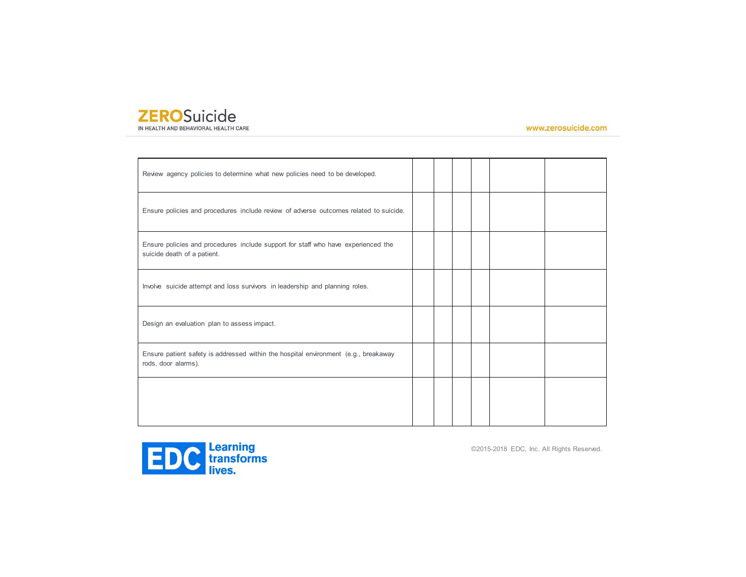#### **ZEROSuicide** IN HEALTH AND BEHAVIORAL HEALTH CARE

www.zerosuicide.com

| Review agency policies to determine what new policies need to be developed.                                      |  |  |  |
|------------------------------------------------------------------------------------------------------------------|--|--|--|
| Ensure policies and procedures include review of adverse outcomes related to suicide.                            |  |  |  |
| Ensure policies and procedures include support for staff who have experienced the<br>suicide death of a patient. |  |  |  |
| Involve suicide attempt and loss survivors in leadership and planning roles.                                     |  |  |  |
| Design an evaluation plan to assess impact.                                                                      |  |  |  |
| Ensure patient safety is addressed within the hospital environment (e.g., breakaway<br>rods, door alarms).       |  |  |  |
|                                                                                                                  |  |  |  |

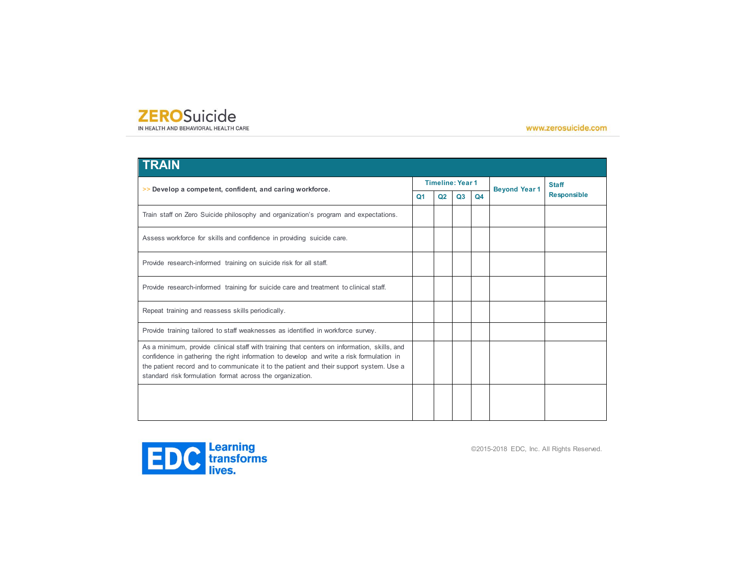IN HEALTH AND BEHAVIORAL HEALTH CARE

www.zerosuicide.com

| <b>TRAIN</b>                                                                                                                                                                                                                                                                                                                                    |    |                         |    |                |                      |                    |
|-------------------------------------------------------------------------------------------------------------------------------------------------------------------------------------------------------------------------------------------------------------------------------------------------------------------------------------------------|----|-------------------------|----|----------------|----------------------|--------------------|
| >> Develop a competent, confident, and caring workforce.                                                                                                                                                                                                                                                                                        |    | <b>Timeline: Year 1</b> |    |                | <b>Beyond Year 1</b> | <b>Staff</b>       |
|                                                                                                                                                                                                                                                                                                                                                 | Q1 | Q <sub>2</sub>          | Q3 | Q <sub>4</sub> |                      | <b>Responsible</b> |
| Train staff on Zero Suicide philosophy and organization's program and expectations.                                                                                                                                                                                                                                                             |    |                         |    |                |                      |                    |
| Assess workforce for skills and confidence in providing suicide care.                                                                                                                                                                                                                                                                           |    |                         |    |                |                      |                    |
| Provide research-informed training on suicide risk for all staff.                                                                                                                                                                                                                                                                               |    |                         |    |                |                      |                    |
| Provide research-informed training for suicide care and treatment to clinical staff.                                                                                                                                                                                                                                                            |    |                         |    |                |                      |                    |
| Repeat training and reassess skills periodically.                                                                                                                                                                                                                                                                                               |    |                         |    |                |                      |                    |
| Provide training tailored to staff weaknesses as identified in workforce survey.                                                                                                                                                                                                                                                                |    |                         |    |                |                      |                    |
| As a minimum, provide clinical staff with training that centers on information, skills, and<br>confidence in gathering the right information to develop and write a risk formulation in<br>the patient record and to communicate it to the patient and their support system. Use a<br>standard risk formulation format across the organization. |    |                         |    |                |                      |                    |
|                                                                                                                                                                                                                                                                                                                                                 |    |                         |    |                |                      |                    |

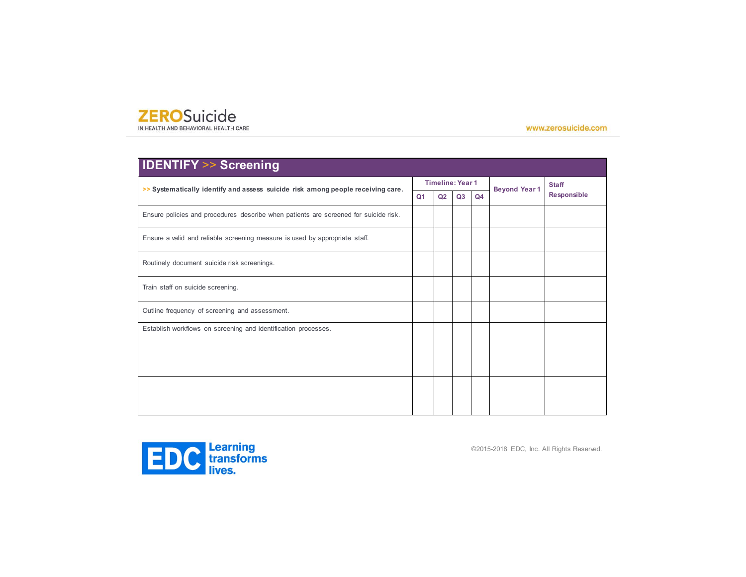IN HEALTH AND BEHAVIORAL HEALTH CARE

www.zerosuicide.com

| <b>IDENTIFY &gt;&gt; Screening</b>                                                   |                |                         |                |                |                      |                    |
|--------------------------------------------------------------------------------------|----------------|-------------------------|----------------|----------------|----------------------|--------------------|
| >> Systematically identify and assess suicide risk among people receiving care.      |                | <b>Timeline: Year 1</b> |                |                | <b>Beyond Year 1</b> | <b>Staff</b>       |
|                                                                                      | Q <sub>1</sub> | Q <sub>2</sub>          | Q <sub>3</sub> | Q <sub>4</sub> |                      | <b>Responsible</b> |
| Ensure policies and procedures describe when patients are screened for suicide risk. |                |                         |                |                |                      |                    |
| Ensure a valid and reliable screening measure is used by appropriate staff.          |                |                         |                |                |                      |                    |
| Routinely document suicide risk screenings.                                          |                |                         |                |                |                      |                    |
| Train staff on suicide screening.                                                    |                |                         |                |                |                      |                    |
| Outline frequency of screening and assessment.                                       |                |                         |                |                |                      |                    |
| Establish workflows on screening and identification processes.                       |                |                         |                |                |                      |                    |
|                                                                                      |                |                         |                |                |                      |                    |
|                                                                                      |                |                         |                |                |                      |                    |
|                                                                                      |                |                         |                |                |                      |                    |
|                                                                                      |                |                         |                |                |                      |                    |
|                                                                                      |                |                         |                |                |                      |                    |

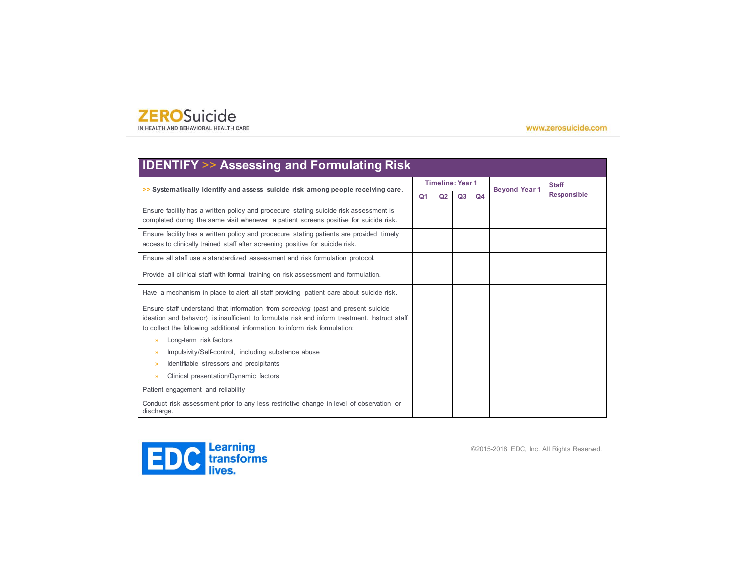IN HEALTH AND BEHAVIORAL HEALTH CARE

www.zerosuicide.com

| >> Systematically identify and assess suicide risk among people receiving care.                                                                                                                                                                                                                                                                                                                                                                                                                                                                         |                |                | <b>Timeline: Year 1</b> |    | <b>Beyond Year 1</b> | <b>Staff</b>       |
|---------------------------------------------------------------------------------------------------------------------------------------------------------------------------------------------------------------------------------------------------------------------------------------------------------------------------------------------------------------------------------------------------------------------------------------------------------------------------------------------------------------------------------------------------------|----------------|----------------|-------------------------|----|----------------------|--------------------|
|                                                                                                                                                                                                                                                                                                                                                                                                                                                                                                                                                         | Q <sub>1</sub> | Q <sub>2</sub> | Q <sub>3</sub>          | Q4 |                      | <b>Responsible</b> |
| Ensure facility has a written policy and procedure stating suicide risk assessment is<br>completed during the same visit whenever a patient screens positive for suicide risk.                                                                                                                                                                                                                                                                                                                                                                          |                |                |                         |    |                      |                    |
| Ensure facility has a written policy and procedure stating patients are provided timely<br>access to clinically trained staff after screening positive for suicide risk.                                                                                                                                                                                                                                                                                                                                                                                |                |                |                         |    |                      |                    |
| Ensure all staff use a standardized assessment and risk formulation protocol.                                                                                                                                                                                                                                                                                                                                                                                                                                                                           |                |                |                         |    |                      |                    |
| Provide all clinical staff with formal training on risk assessment and formulation.                                                                                                                                                                                                                                                                                                                                                                                                                                                                     |                |                |                         |    |                      |                    |
| Have a mechanism in place to alert all staff providing patient care about suicide risk.                                                                                                                                                                                                                                                                                                                                                                                                                                                                 |                |                |                         |    |                      |                    |
| Ensure staff understand that information from <i>screening</i> (past and present suicide<br>ideation and behavior) is insufficient to formulate risk and inform treatment. Instruct staff<br>to collect the following additional information to inform risk formulation:<br>Long-term risk factors<br>$\rightarrow$<br>Impulsivity/Self-control, including substance abuse<br>$\rightarrow$<br>Identifiable stressors and precipitants<br>$\mathcal{P}$<br>Clinical presentation/Dynamic factors<br>$\rightarrow$<br>Patient engagement and reliability |                |                |                         |    |                      |                    |

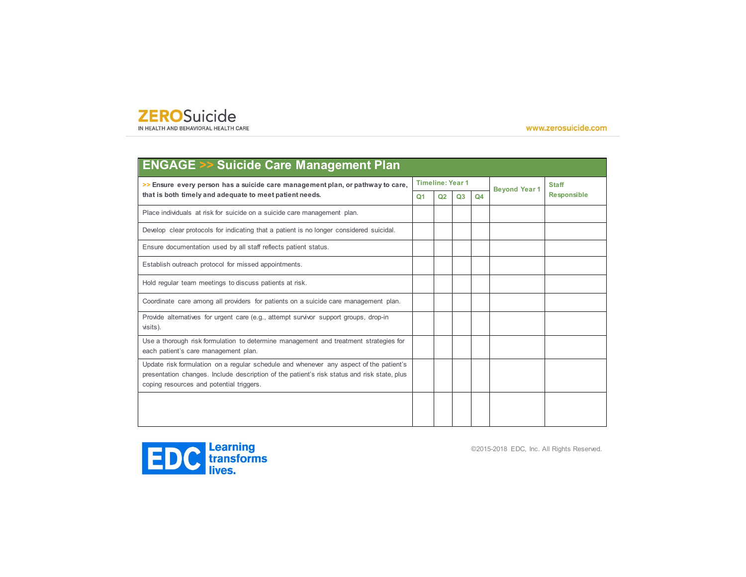IN HEALTH AND BEHAVIORAL HEALTH CARE

www.zerosuicide.com

| <b>ENGAGE &gt;&gt; Suicide Care Management Plan</b>                                                                                                                                                                               |           |                         |    |                |                      |                    |
|-----------------------------------------------------------------------------------------------------------------------------------------------------------------------------------------------------------------------------------|-----------|-------------------------|----|----------------|----------------------|--------------------|
| >> Ensure every person has a suicide care management plan, or pathway to care,                                                                                                                                                    |           | <b>Timeline: Year 1</b> |    |                | <b>Beyond Year 1</b> | <b>Staff</b>       |
| that is both timely and adequate to meet patient needs.                                                                                                                                                                           | <b>Q1</b> | Q2                      | Q3 | Q <sub>4</sub> |                      | <b>Responsible</b> |
| Place individuals at risk for suicide on a suicide care management plan.                                                                                                                                                          |           |                         |    |                |                      |                    |
| Develop clear protocols for indicating that a patient is no longer considered suicidal.                                                                                                                                           |           |                         |    |                |                      |                    |
| Ensure documentation used by all staff reflects patient status.                                                                                                                                                                   |           |                         |    |                |                      |                    |
| Establish outreach protocol for missed appointments.                                                                                                                                                                              |           |                         |    |                |                      |                    |
| Hold regular team meetings to discuss patients at risk.                                                                                                                                                                           |           |                         |    |                |                      |                    |
| Coordinate care among all providers for patients on a suicide care management plan.                                                                                                                                               |           |                         |    |                |                      |                    |
| Provide alternatives for urgent care (e.g., attempt survivor support groups, drop-in<br>visits).                                                                                                                                  |           |                         |    |                |                      |                    |
| Use a thorough risk formulation to determine management and treatment strategies for<br>each patient's care management plan.                                                                                                      |           |                         |    |                |                      |                    |
| Update risk formulation on a regular schedule and whenever any aspect of the patient's<br>presentation changes. Include description of the patient's risk status and risk state, plus<br>coping resources and potential triggers. |           |                         |    |                |                      |                    |
|                                                                                                                                                                                                                                   |           |                         |    |                |                      |                    |

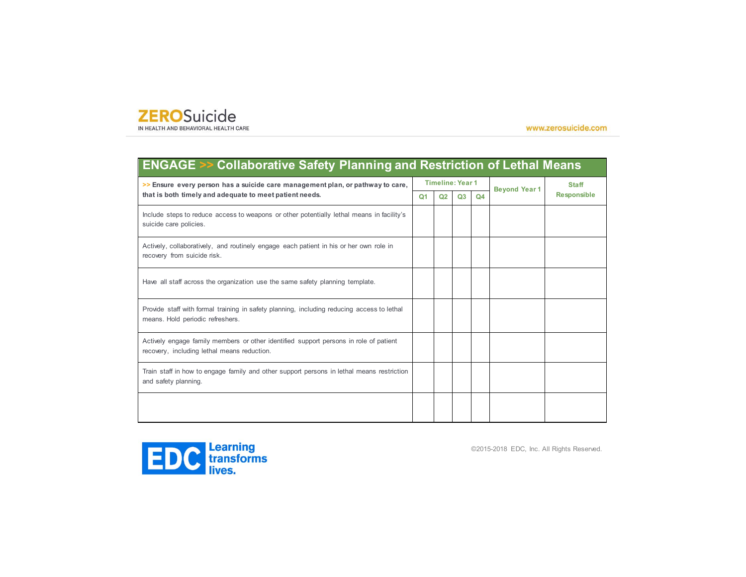IN HEALTH AND BEHAVIORAL HEALTH CARE

www.zerosuicide.com

| <b>ENGAGE &gt;&gt; Collaborative Safety Planning and Restriction of Lethal Means</b>                                                      |                |                |                         |                |                      |                    |  |  |  |
|-------------------------------------------------------------------------------------------------------------------------------------------|----------------|----------------|-------------------------|----------------|----------------------|--------------------|--|--|--|
| >> Ensure every person has a suicide care management plan, or pathway to care,<br>that is both timely and adequate to meet patient needs. |                |                | <b>Timeline: Year 1</b> |                | <b>Beyond Year 1</b> | <b>Staff</b>       |  |  |  |
|                                                                                                                                           | Q <sub>1</sub> | Q <sub>2</sub> | Q <sub>3</sub>          | Q <sub>4</sub> |                      | <b>Responsible</b> |  |  |  |
| Include steps to reduce access to weapons or other potentially lethal means in facility's<br>suicide care policies.                       |                |                |                         |                |                      |                    |  |  |  |
| Actively, collaboratively, and routinely engage each patient in his or her own role in<br>recovery from suicide risk.                     |                |                |                         |                |                      |                    |  |  |  |
| Have all staff across the organization use the same safety planning template.                                                             |                |                |                         |                |                      |                    |  |  |  |
| Provide staff with formal training in safety planning, including reducing access to lethal<br>means. Hold periodic refreshers.            |                |                |                         |                |                      |                    |  |  |  |
| Actively engage family members or other identified support persons in role of patient<br>recovery, including lethal means reduction.      |                |                |                         |                |                      |                    |  |  |  |
| Train staff in how to engage family and other support persons in lethal means restriction<br>and safety planning.                         |                |                |                         |                |                      |                    |  |  |  |
|                                                                                                                                           |                |                |                         |                |                      |                    |  |  |  |

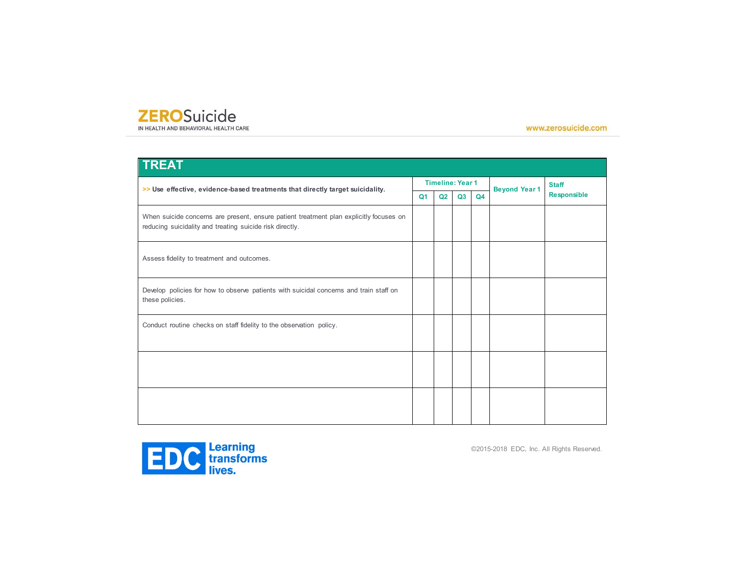IN HEALTH AND BEHAVIORAL HEALTH CARE

www.zerosuicide.com

| <b>TREAT</b>                                                                                                                                       |    |                         |    |    |                      |                    |
|----------------------------------------------------------------------------------------------------------------------------------------------------|----|-------------------------|----|----|----------------------|--------------------|
| >> Use effective, evidence-based treatments that directly target suicidality.                                                                      |    | <b>Timeline: Year 1</b> |    |    | <b>Beyond Year 1</b> | <b>Staff</b>       |
|                                                                                                                                                    | Q1 | Q2                      | Q3 | Q4 |                      | <b>Responsible</b> |
| When suicide concerns are present, ensure patient treatment plan explicitly focuses on<br>reducing suicidality and treating suicide risk directly. |    |                         |    |    |                      |                    |
| Assess fidelity to treatment and outcomes.                                                                                                         |    |                         |    |    |                      |                    |
| Develop policies for how to observe patients with suicidal concerns and train staff on<br>these policies.                                          |    |                         |    |    |                      |                    |
| Conduct routine checks on staff fidelity to the observation policy.                                                                                |    |                         |    |    |                      |                    |
|                                                                                                                                                    |    |                         |    |    |                      |                    |
|                                                                                                                                                    |    |                         |    |    |                      |                    |

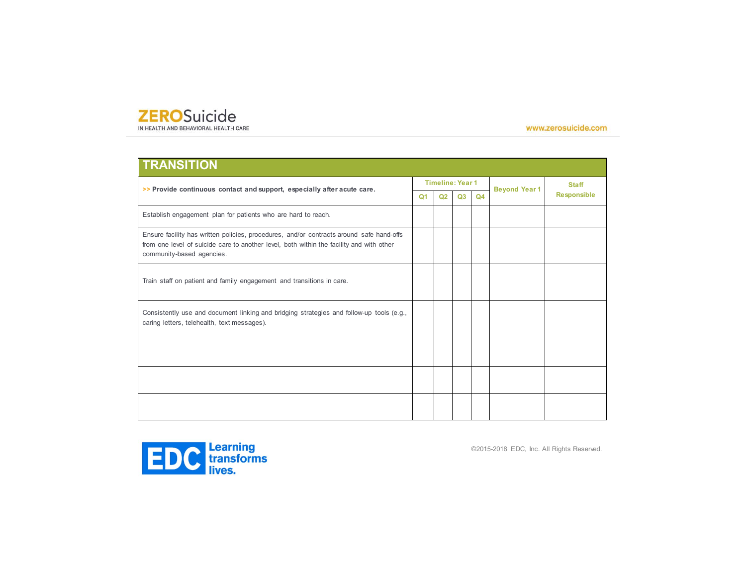IN HEALTH AND BEHAVIORAL HEALTH CARE

www.zerosuicide.com

| <b>TRANSITION</b>                                                                                                                                                                                                 |                |                |                         |                |                      |                    |
|-------------------------------------------------------------------------------------------------------------------------------------------------------------------------------------------------------------------|----------------|----------------|-------------------------|----------------|----------------------|--------------------|
| >> Provide continuous contact and support, especially after acute care.                                                                                                                                           |                |                | <b>Timeline: Year 1</b> |                | <b>Beyond Year 1</b> | <b>Staff</b>       |
|                                                                                                                                                                                                                   | Q <sub>1</sub> | Q <sub>2</sub> | Q <sub>3</sub>          | Q <sub>4</sub> |                      | <b>Responsible</b> |
| Establish engagement plan for patients who are hard to reach.                                                                                                                                                     |                |                |                         |                |                      |                    |
| Ensure facility has written policies, procedures, and/or contracts around safe hand-offs<br>from one level of suicide care to another level, both within the facility and with other<br>community-based agencies. |                |                |                         |                |                      |                    |
| Train staff on patient and family engagement and transitions in care.                                                                                                                                             |                |                |                         |                |                      |                    |
| Consistently use and document linking and bridging strategies and follow-up tools (e.g.,<br>caring letters, telehealth, text messages).                                                                           |                |                |                         |                |                      |                    |
|                                                                                                                                                                                                                   |                |                |                         |                |                      |                    |
|                                                                                                                                                                                                                   |                |                |                         |                |                      |                    |
|                                                                                                                                                                                                                   |                |                |                         |                |                      |                    |